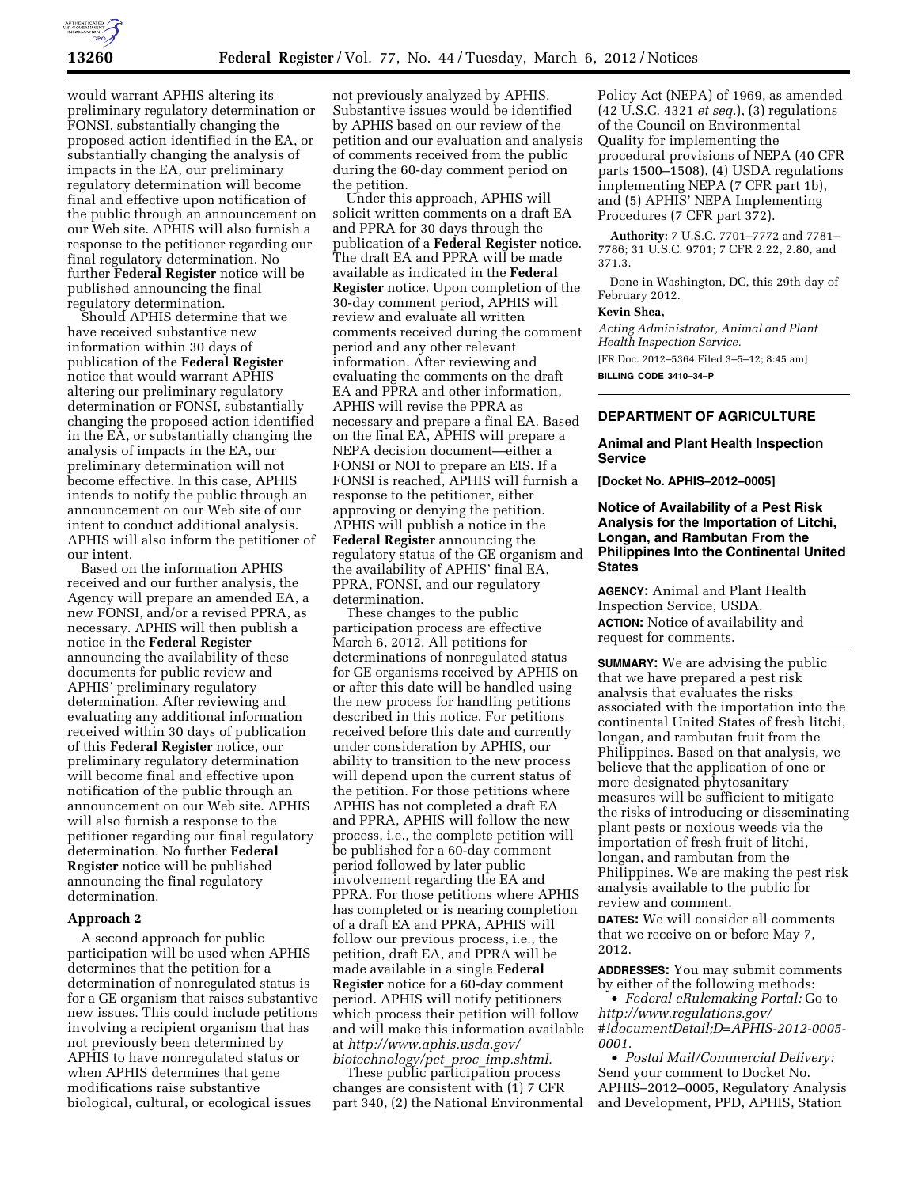

would warrant APHIS altering its preliminary regulatory determination or FONSI, substantially changing the proposed action identified in the EA, or substantially changing the analysis of impacts in the EA, our preliminary regulatory determination will become final and effective upon notification of the public through an announcement on our Web site. APHIS will also furnish a response to the petitioner regarding our final regulatory determination. No further **Federal Register** notice will be published announcing the final regulatory determination.

Should APHIS determine that we have received substantive new information within 30 days of publication of the **Federal Register**  notice that would warrant APHIS altering our preliminary regulatory determination or FONSI, substantially changing the proposed action identified in the EA, or substantially changing the analysis of impacts in the EA, our preliminary determination will not become effective. In this case, APHIS intends to notify the public through an announcement on our Web site of our intent to conduct additional analysis. APHIS will also inform the petitioner of our intent.

Based on the information APHIS received and our further analysis, the Agency will prepare an amended EA, a new FONSI, and/or a revised PPRA, as necessary. APHIS will then publish a notice in the **Federal Register**  announcing the availability of these documents for public review and APHIS' preliminary regulatory determination. After reviewing and evaluating any additional information received within 30 days of publication of this **Federal Register** notice, our preliminary regulatory determination will become final and effective upon notification of the public through an announcement on our Web site. APHIS will also furnish a response to the petitioner regarding our final regulatory determination. No further **Federal Register** notice will be published announcing the final regulatory determination.

## **Approach 2**

A second approach for public participation will be used when APHIS determines that the petition for a determination of nonregulated status is for a GE organism that raises substantive new issues. This could include petitions involving a recipient organism that has not previously been determined by APHIS to have nonregulated status or when APHIS determines that gene modifications raise substantive biological, cultural, or ecological issues

not previously analyzed by APHIS. Substantive issues would be identified by APHIS based on our review of the petition and our evaluation and analysis of comments received from the public during the 60-day comment period on the petition.

Under this approach, APHIS will solicit written comments on a draft EA and PPRA for 30 days through the publication of a **Federal Register** notice. The draft EA and PPRA will be made available as indicated in the **Federal Register** notice. Upon completion of the 30-day comment period, APHIS will review and evaluate all written comments received during the comment period and any other relevant information. After reviewing and evaluating the comments on the draft EA and PPRA and other information, APHIS will revise the PPRA as necessary and prepare a final EA. Based on the final EA, APHIS will prepare a NEPA decision document—either a FONSI or NOI to prepare an EIS. If a FONSI is reached, APHIS will furnish a response to the petitioner, either approving or denying the petition. APHIS will publish a notice in the **Federal Register** announcing the regulatory status of the GE organism and the availability of APHIS' final EA, PPRA, FONSI, and our regulatory determination.

These changes to the public participation process are effective March 6, 2012. All petitions for determinations of nonregulated status for GE organisms received by APHIS on or after this date will be handled using the new process for handling petitions described in this notice. For petitions received before this date and currently under consideration by APHIS, our ability to transition to the new process will depend upon the current status of the petition. For those petitions where APHIS has not completed a draft EA and PPRA, APHIS will follow the new process, i.e., the complete petition will be published for a 60-day comment period followed by later public involvement regarding the EA and PPRA. For those petitions where APHIS has completed or is nearing completion of a draft EA and PPRA, APHIS will follow our previous process, i.e., the petition, draft EA, and PPRA will be made available in a single **Federal Register** notice for a 60-day comment period. APHIS will notify petitioners which process their petition will follow and will make this information available at *http://www.aphis.usda.gov/ biotechnology/pet*\_*proc*\_*imp.shtml.* 

These public participation process changes are consistent with (1) 7 CFR part 340, (2) the National Environmental

Policy Act (NEPA) of 1969, as amended (42 U.S.C. 4321 *et seq.*), (3) regulations of the Council on Environmental Quality for implementing the procedural provisions of NEPA (40 CFR parts 1500–1508), (4) USDA regulations implementing NEPA (7 CFR part 1b), and (5) APHIS' NEPA Implementing Procedures (7 CFR part 372).

**Authority:** 7 U.S.C. 7701–7772 and 7781– 7786; 31 U.S.C. 9701; 7 CFR 2.22, 2.80, and 371.3.

Done in Washington, DC, this 29th day of February 2012.

## **Kevin Shea,**

*Acting Administrator, Animal and Plant Health Inspection Service.*  [FR Doc. 2012–5364 Filed 3–5–12; 8:45 am]

**BILLING CODE 3410–34–P** 

# **DEPARTMENT OF AGRICULTURE**

## **Animal and Plant Health Inspection Service**

**[Docket No. APHIS–2012–0005]** 

# **Notice of Availability of a Pest Risk Analysis for the Importation of Litchi, Longan, and Rambutan From the Philippines Into the Continental United States**

**AGENCY:** Animal and Plant Health Inspection Service, USDA. **ACTION:** Notice of availability and request for comments.

**SUMMARY:** We are advising the public that we have prepared a pest risk analysis that evaluates the risks associated with the importation into the continental United States of fresh litchi, longan, and rambutan fruit from the Philippines. Based on that analysis, we believe that the application of one or more designated phytosanitary measures will be sufficient to mitigate the risks of introducing or disseminating plant pests or noxious weeds via the importation of fresh fruit of litchi, longan, and rambutan from the Philippines. We are making the pest risk analysis available to the public for review and comment.

**DATES:** We will consider all comments that we receive on or before May 7, 2012.

**ADDRESSES:** You may submit comments by either of the following methods:

• *Federal eRulemaking Portal:* Go to *[http://www.regulations.gov/](http://www.regulations.gov/#!documentDetail;D=APHIS-2012-0005-0001)  [#!documentDetail;D=APHIS-2012-0005-](http://www.regulations.gov/#!documentDetail;D=APHIS-2012-0005-0001) [0001.](http://www.regulations.gov/#!documentDetail;D=APHIS-2012-0005-0001)* 

• *Postal Mail/Commercial Delivery:*  Send your comment to Docket No. APHIS–2012–0005, Regulatory Analysis and Development, PPD, APHIS, Station